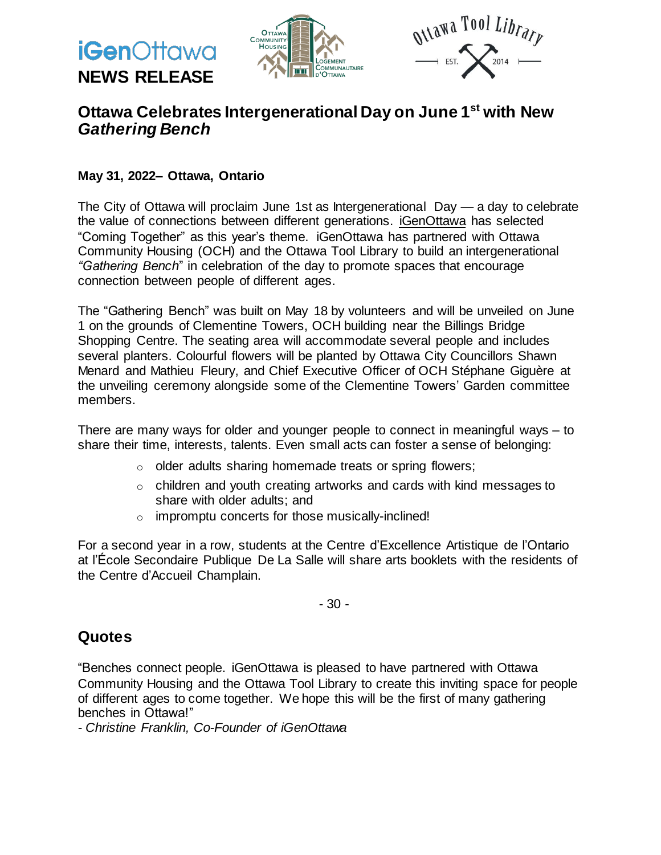



### **Ottawa Celebrates Intergenerational Day on June 1 st with New** *Gathering Bench*

#### **May 31, 2022– Ottawa, Ontario**

**NEWS RELEASE**

**iGen**Ottawa

The City of Ottawa will proclaim June 1st as Intergenerational Day — a day to celebrate the value of connections between different generations. [iGenOttawa](https://www.igenottawa.ca/) has selected "Coming Together" as this year's theme. iGenOttawa has partnered with Ottawa Community Housing (OCH) and the Ottawa Tool Library to build an intergenerational *"Gathering Bench*" in celebration of the day to promote spaces that encourage connection between people of different ages.

The "Gathering Bench" was built on May 18 by volunteers and will be unveiled on June 1 on the grounds of Clementine Towers, OCH building near the Billings Bridge Shopping Centre. The seating area will accommodate several people and includes several planters. Colourful flowers will be planted by Ottawa City Councillors Shawn Menard and Mathieu Fleury, and Chief Executive Officer of OCH Stéphane Giguère at the unveiling ceremony alongside some of the Clementine Towers' Garden committee members.

There are many ways for older and younger people to connect in meaningful ways – to share their time, interests, talents. Even small acts can foster a sense of belonging:

- o older adults sharing homemade treats or spring flowers;
- o children and youth creating artworks and cards with kind messages to share with older adults; and
- o impromptu concerts for those musically-inclined!

For a second year in a row, students at the Centre d'Excellence Artistique de l'Ontario at l'École Secondaire Publique De La Salle will share arts booklets with the residents of the Centre d'Accueil Champlain.

- 30 -

#### **Quotes**

"Benches connect people. iGenOttawa is pleased to have partnered with Ottawa Community Housing and the Ottawa Tool Library to create this inviting space for people of different ages to come together. We hope this will be the first of many gathering benches in Ottawa!"

*- Christine Franklin, Co-Founder of iGenOttawa*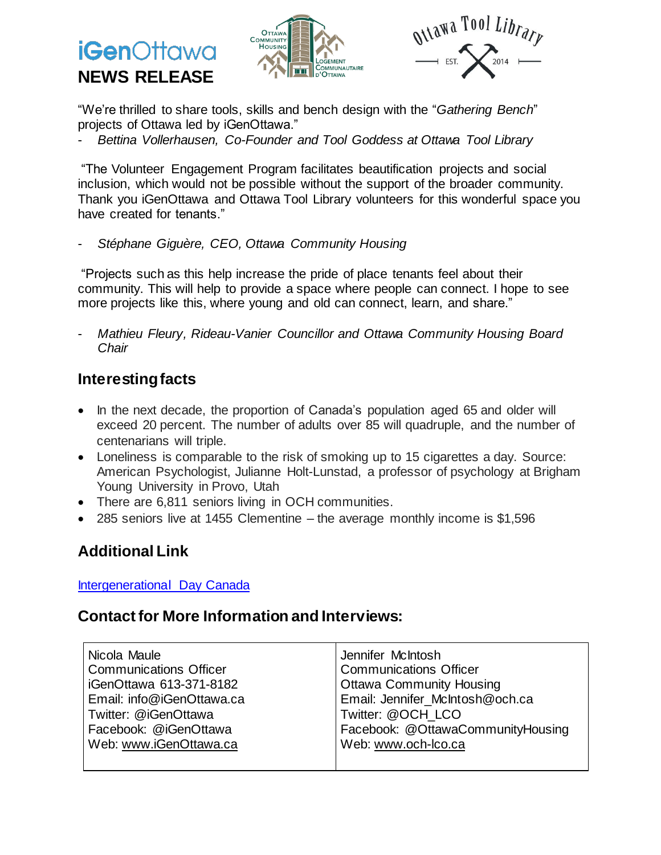# **iGen**Ottawa **NEWS RELEASE**





"We're thrilled to share tools, skills and bench design with the "*Gathering Bench*" projects of Ottawa led by iGenOttawa."

- *Bettina Vollerhausen, Co-Founder and Tool Goddess at Ottawa Tool Library*

"The Volunteer Engagement Program facilitates beautification projects and social inclusion, which would not be possible without the support of the broader community. Thank you iGenOttawa and Ottawa Tool Library volunteers for this wonderful space you have created for tenants."

- *Stéphane Giguère, CEO, Ottawa Community Housing*

"Projects such as this help increase the pride of place tenants feel about their community. This will help to provide a space where people can connect. I hope to see more projects like this, where young and old can connect, learn, and share."

- *Mathieu Fleury, Rideau-Vanier Councillor and Ottawa Community Housing Board Chair*

# **Interestingfacts**

- In the next decade, the proportion of Canada's population aged 65 and older will exceed 20 percent. The number of adults over 85 will quadruple, and the number of centenarians will triple.
- Loneliness is comparable to the risk of smoking up to 15 cigarettes a day. Source: American Psychologist, Julianne Holt-Lunstad, a professor of psychology at Brigham Young University in Provo, Utah
- There are 6,811 seniors living in OCH communities.
- 285 seniors live at 1455 Clementine the average monthly income is \$1,596

# **Additional Link**

#### [Intergenerational](http://intergenerational.ca/i2i/ig-day/?option=com_content&view=article&id=135:ed-asner-list&catid=130:ed-asners-ig-activities&Itemid=216) Day Canada

#### **Contact for More Information and Interviews:**

| Nicola Maule                  | Jennifer McIntosh                 |
|-------------------------------|-----------------------------------|
| <b>Communications Officer</b> | <b>Communications Officer</b>     |
| iGenOttawa 613-371-8182       | <b>Ottawa Community Housing</b>   |
| Email: info@iGenOttawa.ca     | Email: Jennifer_McIntosh@och.ca   |
| Twitter: @iGenOttawa          | Twitter: @OCH LCO                 |
| Facebook: @iGenOttawa         | Facebook: @OttawaCommunityHousing |
| Web: www.iGenOttawa.ca        | Web: www.och-lco.ca               |
|                               |                                   |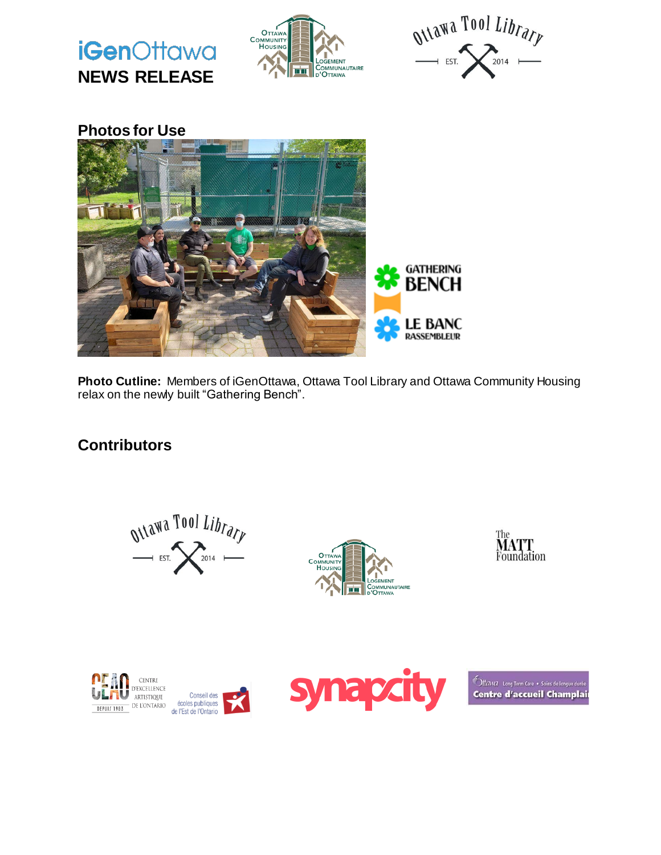

**Photo Cutline:** Members of iGenOttawa, Ottawa Tool Library and Ottawa Community Housing relax on the newly built "Gathering Bench".

**RASSEMBLEUR** 

### **Contributors**